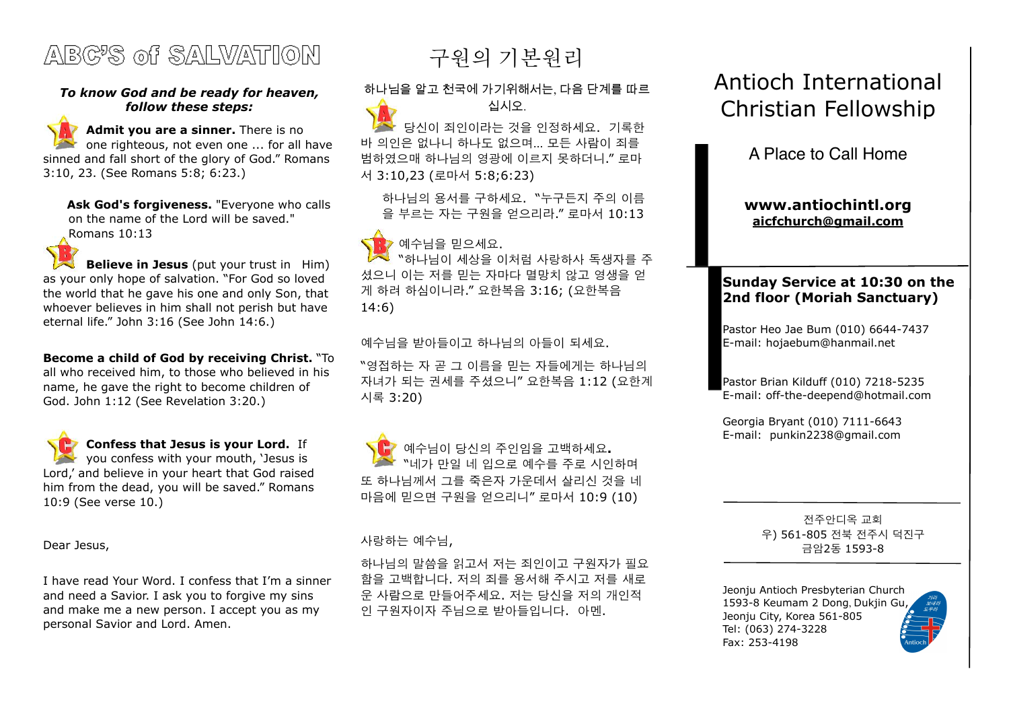

#### *To know God and be ready for heaven, follow these steps:*

Admit you are a sinner. There is no one righteous, not even one ... for all have sinned and fall short of the glory of God." Romans 3:10, 23. (See Romans 5:8; 6:23.)

**Ask God's forgiveness.** "Everyone who calls on the name of the Lord will be saved." Romans 10:13

**Believe in Jesus** (put your trust in Him) as your only hope of salvation. "For God so loved the world that he gave his one and only Son, that whoever believes in him shall not perish but have eternal life." John 3:16 (See John 14:6.)

**Become a child of God by receiving Christ.** "To all who received him, to those who believed in his name, he gave the right to become children of God. John 1:12 (See Revelation 3:20.)

 **Confess that Jesus is your Lord.** If you confess with your mouth, 'Jesus is Lord,' and believe in your heart that God raised him from the dead, you will be saved." Romans 10:9 (See verse 10.)

Dear Jesus,

I have read Your Word. I confess that I'm a sinner and need a Savior. I ask you to forgive my sins and make me a new person. I accept you as my personal Savior and Lord. Amen.

구원의 기본원리

하나님을 알고 천국에 가기위해서는, 다음 단계를 따르 십시오.

당신이 죄인이라는 것을 인정하세요. 기록한 바 의인은 없나니 하나도 없으며… 모든 사람이 죄를 범하였으매 하나님의 영광에 이르지 못하더니." 로마 서 3:10,23 (로마서 5:8;6:23)

하나님의 용서를 구하세요. "누구든지 주의 이름 을 부르는 자는 구원을 얻으리라." 로마서 10:13

## 예수님을 믿으세요. "하나님이 세상을 이처럼 사랑하사 독생자를 주 셨으니 이는 저를 믿는 자마다 멸망치 않고 영생을 얻 게 하려 하심이니라." 요한복음 3:16; (요한복음

14:6)

예수님을 받아들이고 하나님의 아들이 되세요.

"영접하는 자 곧 그 이름을 믿는 자들에게는 하나님의 자녀가 되는 권세를 주셨으니" 요한복음 1:12 (요한계 시록 3:20)

 예수님이 당신의 주인임을 고백하세요**.** "네가 만일 네 입으로 예수를 주로 시인하며 또 하나님께서 그를 죽은자 가운데서 살리신 것을 네 마음에 믿으면 구원을 얻으리니" 로마서 10:9 (10)

#### 사랑하는 예수님,

하나님의 말씀을 읽고서 저는 죄인이고 구원자가 필요 함을 고백합니다. 저의 죄를 용서해 주시고 저를 새로 운 사람으로 만들어주세요. 저는 당신을 저의 개인적 인 구원자이자 주님으로 받아들입니다. 아멘.

# Antioch International Christian Fellowship

A Place to Call Home

**[www.antiochintl.org](http://www.antiochintl.org) [aicfchurch@gmail.com](mailto:aicfchurch@gmail.com)**

### **Sunday Service at 10:30 on the 2nd floor (Moriah Sanctuary)**

Pastor Heo Jae Bum (010) 6644-7437 E-mail: [hojaebum@hanmail.net](mailto:hojaebum@hanmail.net)

Pastor Brian Kilduff (010) 7218-5235 E-mail: [off-the-deepend@hotmail.com](mailto:off-the-deepend@hotmail.com)

Georgia Bryant (010) 7111-6643 E-mail: [punkin2238@gmail.com](mailto:punkin2238@gmail.com)

> 전주안디옥 교회 우) 561-805 전북 전주시 덕진구 금암2동 1593-8

Jeonju Antioch Presbyterian Church 1593-8 Keumam 2 Dong, Dukjin Gu, Jeonju City, Korea 561-805 Tel: (063) 274-3228 Fax: 253-4198